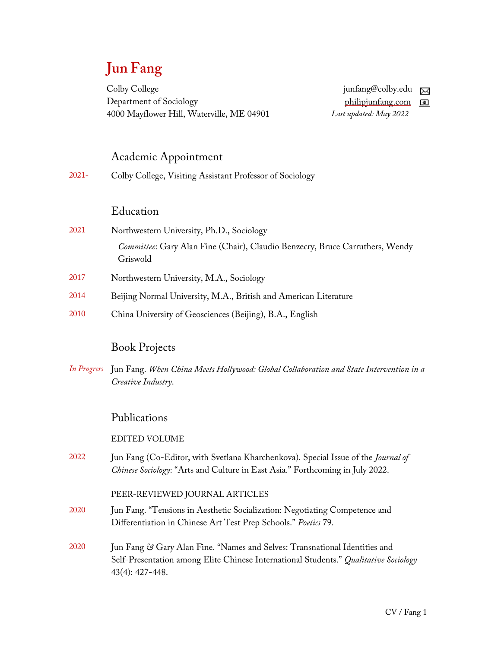# **Jun Fang**

Colby College Department of Sociology 4000 Mayflower Hill, Waterville, ME 04901

junfang@colby.edu  $\boxtimes$ philipjunfang.com *Last updated: May 2022*

#### Academic Appointment

2021- Colby College, Visiting Assistant Professor of Sociology

#### Education

- 2021 Northwestern University, Ph.D., Sociology *Committee*: Gary Alan Fine (Chair), Claudio Benzecry, Bruce Carruthers, Wendy Griswold
- 2017 Northwestern University, M.A., Sociology
- 2014 Beijing Normal University, M.A., British and American Literature
- 2010 China University of Geosciences (Beijing), B.A., English

## Book Projects

*In Progress* Jun Fang. *When China Meets Hollywood: Global Collaboration and State Intervention in a Creative Industry*.

#### Publications

EDITED VOLUME

2022 Jun Fang (Co-Editor, with Svetlana Kharchenkova). Special Issue of the *Journal of Chinese Sociology*: "Arts and Culture in East Asia." Forthcoming in July 2022.

#### PEER-REVIEWED JOURNAL ARTICLES

- 2020 Jun Fang. "Tensions in Aesthetic Socialization: Negotiating Competence and Differentiation in Chinese Art Test Prep Schools." *Poetics* 79.
- 2020 Jun Fang *&* Gary Alan Fine. "Names and Selves: Transnational Identities and Self-Presentation among Elite Chinese International Students." *Qualitative Sociology* 43(4): 427-448.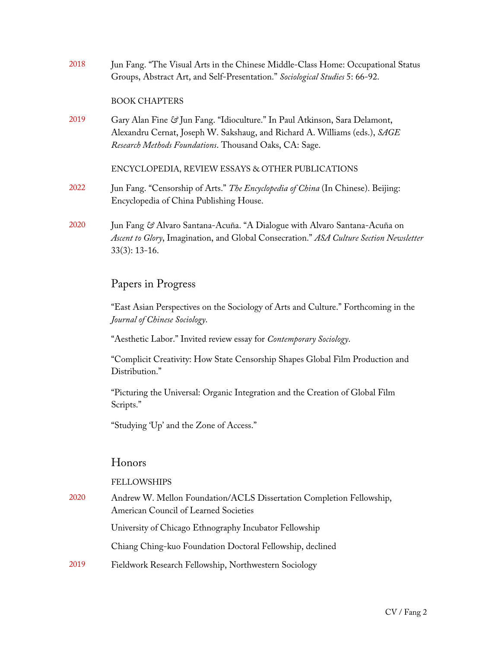| 2018 | Jun Fang. "The Visual Arts in the Chinese Middle-Class Home: Occupational Status<br>Groups, Abstract Art, and Self-Presentation." Sociological Studies 5: 66-92.                                                   |
|------|--------------------------------------------------------------------------------------------------------------------------------------------------------------------------------------------------------------------|
|      | <b>BOOK CHAPTERS</b>                                                                                                                                                                                               |
| 2019 | Gary Alan Fine & Jun Fang. "Idioculture." In Paul Atkinson, Sara Delamont,<br>Alexandru Cernat, Joseph W. Sakshaug, and Richard A. Williams (eds.), SAGE<br>Research Methods Foundations. Thousand Oaks, CA: Sage. |
|      | ENCYCLOPEDIA, REVIEW ESSAYS & OTHER PUBLICATIONS                                                                                                                                                                   |
| 2022 | Jun Fang. "Censorship of Arts." The Encyclopedia of China (In Chinese). Beijing:<br>Encyclopedia of China Publishing House.                                                                                        |
| 2020 | Jun Fang & Alvaro Santana-Acuña. "A Dialogue with Alvaro Santana-Acuña on<br>Ascent to Glory, Imagination, and Global Consecration." ASA Culture Section Newsletter                                                |

## Papers in Progress

33(3): 13-16.

"East Asian Perspectives on the Sociology of Arts and Culture." Forthcoming in the *Journal of Chinese Sociology*.

"Aesthetic Labor." Invited review essay for *Contemporary Sociology*.

"Complicit Creativity: How State Censorship Shapes Global Film Production and Distribution."

"Picturing the Universal: Organic Integration and the Creation of Global Film Scripts."

"Studying 'Up' and the Zone of Access."

## Honors

#### FELLOWSHIPS

2020 Andrew W. Mellon Foundation/ACLS Dissertation Completion Fellowship, American Council of Learned Societies University of Chicago Ethnography Incubator Fellowship Chiang Ching-kuo Foundation Doctoral Fellowship, declined 2019 Fieldwork Research Fellowship, Northwestern Sociology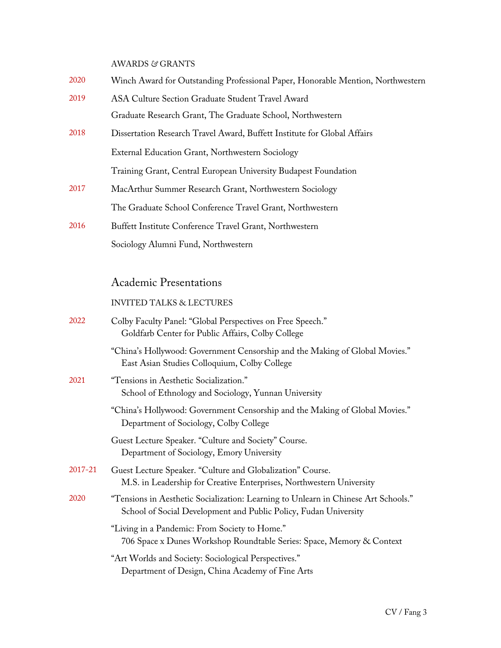AWARDS *&* GRANTS

- 2020 Winch Award for Outstanding Professional Paper, Honorable Mention, Northwestern
- 2019 ASA Culture Section Graduate Student Travel Award Graduate Research Grant, The Graduate School, Northwestern
- 2018 Dissertation Research Travel Award, Buffett Institute for Global Affairs External Education Grant, Northwestern Sociology

Training Grant, Central European University Budapest Foundation

- 2017 MacArthur Summer Research Grant, Northwestern Sociology The Graduate School Conference Travel Grant, Northwestern
- 2016 Buffett Institute Conference Travel Grant, Northwestern Sociology Alumni Fund, Northwestern

## Academic Presentations

#### INVITED TALKS & LECTURES

| 2022    | Colby Faculty Panel: "Global Perspectives on Free Speech."<br>Goldfarb Center for Public Affairs, Colby College                                        |
|---------|--------------------------------------------------------------------------------------------------------------------------------------------------------|
|         | "China's Hollywood: Government Censorship and the Making of Global Movies."<br>East Asian Studies Colloquium, Colby College                            |
| 2021    | "Tensions in Aesthetic Socialization."<br>School of Ethnology and Sociology, Yunnan University                                                         |
|         | "China's Hollywood: Government Censorship and the Making of Global Movies."<br>Department of Sociology, Colby College                                  |
|         | Guest Lecture Speaker. "Culture and Society" Course.<br>Department of Sociology, Emory University                                                      |
| 2017-21 | Guest Lecture Speaker. "Culture and Globalization" Course.<br>M.S. in Leadership for Creative Enterprises, Northwestern University                     |
| 2020    | "Tensions in Aesthetic Socialization: Learning to Unlearn in Chinese Art Schools."<br>School of Social Development and Public Policy, Fudan University |
|         | "Living in a Pandemic: From Society to Home."<br>706 Space x Dunes Workshop Roundtable Series: Space, Memory & Context                                 |
|         | "Art Worlds and Society: Sociological Perspectives."<br>Department of Design, China Academy of Fine Arts                                               |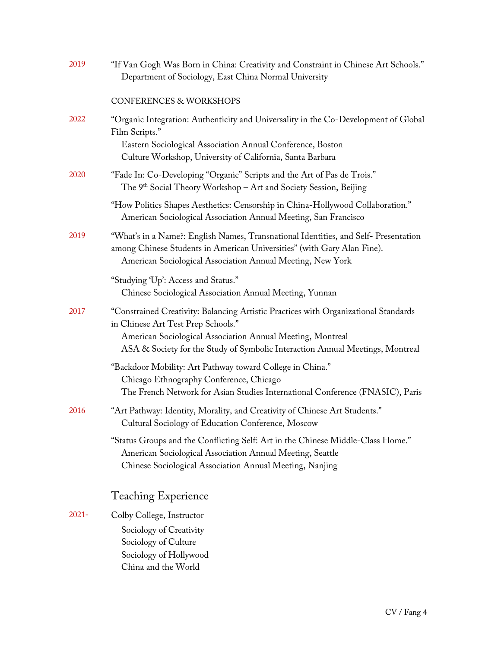| 2019     | "If Van Gogh Was Born in China: Creativity and Constraint in Chinese Art Schools."<br>Department of Sociology, East China Normal University                                                                                                                              |
|----------|--------------------------------------------------------------------------------------------------------------------------------------------------------------------------------------------------------------------------------------------------------------------------|
|          | CONFERENCES & WORKSHOPS                                                                                                                                                                                                                                                  |
| 2022     | "Organic Integration: Authenticity and Universality in the Co-Development of Global<br>Film Scripts."                                                                                                                                                                    |
|          | Eastern Sociological Association Annual Conference, Boston<br>Culture Workshop, University of California, Santa Barbara                                                                                                                                                  |
| 2020     | "Fade In: Co-Developing "Organic" Scripts and the Art of Pas de Trois."<br>The 9 <sup>th</sup> Social Theory Workshop – Art and Society Session, Beijing                                                                                                                 |
|          | "How Politics Shapes Aesthetics: Censorship in China-Hollywood Collaboration."<br>American Sociological Association Annual Meeting, San Francisco                                                                                                                        |
| 2019     | "What's in a Name?: English Names, Transnational Identities, and Self- Presentation<br>among Chinese Students in American Universities" (with Gary Alan Fine).<br>American Sociological Association Annual Meeting, New York                                             |
|          | "Studying 'Up': Access and Status."<br>Chinese Sociological Association Annual Meeting, Yunnan                                                                                                                                                                           |
| 2017     | "Constrained Creativity: Balancing Artistic Practices with Organizational Standards<br>in Chinese Art Test Prep Schools."<br>American Sociological Association Annual Meeting, Montreal<br>ASA & Society for the Study of Symbolic Interaction Annual Meetings, Montreal |
|          | "Backdoor Mobility: Art Pathway toward College in China."                                                                                                                                                                                                                |
|          | Chicago Ethnography Conference, Chicago<br>The French Network for Asian Studies International Conference (FNASIC), Paris                                                                                                                                                 |
| 2016     | "Art Pathway: Identity, Morality, and Creativity of Chinese Art Students."<br>Cultural Sociology of Education Conference, Moscow                                                                                                                                         |
|          | "Status Groups and the Conflicting Self: Art in the Chinese Middle-Class Home."<br>American Sociological Association Annual Meeting, Seattle<br>Chinese Sociological Association Annual Meeting, Nanjing                                                                 |
|          | <b>Teaching Experience</b>                                                                                                                                                                                                                                               |
| $2021 -$ | Colby College, Instructor                                                                                                                                                                                                                                                |
|          | Sociology of Creativity<br>Sociology of Culture                                                                                                                                                                                                                          |
|          | Sociology of Hollywood                                                                                                                                                                                                                                                   |
|          | China and the World                                                                                                                                                                                                                                                      |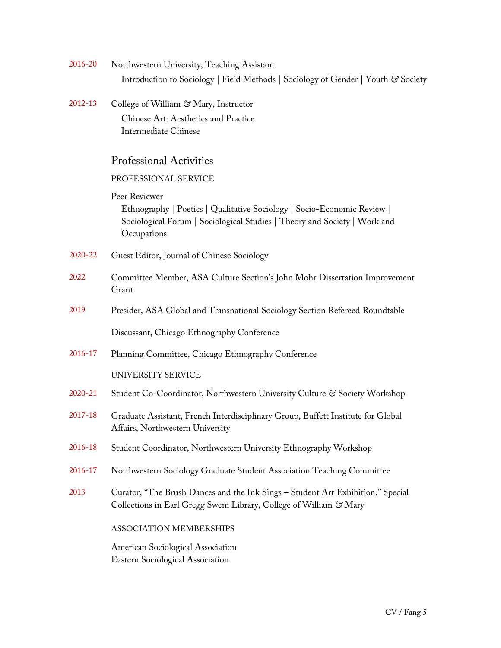| 2016-20     | Northwestern University, Teaching Assistant                                                                                                                                          |
|-------------|--------------------------------------------------------------------------------------------------------------------------------------------------------------------------------------|
|             | Introduction to Sociology   Field Methods   Sociology of Gender   Youth & Society                                                                                                    |
| $2012 - 13$ | College of William & Mary, Instructor<br>Chinese Art: Aesthetics and Practice<br><b>Intermediate Chinese</b>                                                                         |
|             | <b>Professional Activities</b>                                                                                                                                                       |
|             | PROFESSIONAL SERVICE                                                                                                                                                                 |
|             | Peer Reviewer<br>Ethnography   Poetics   Qualitative Sociology   Socio-Economic Review  <br>Sociological Forum   Sociological Studies   Theory and Society   Work and<br>Occupations |
| 2020-22     | Guest Editor, Journal of Chinese Sociology                                                                                                                                           |
| 2022        | Committee Member, ASA Culture Section's John Mohr Dissertation Improvement<br>Grant                                                                                                  |
| 2019        | Presider, ASA Global and Transnational Sociology Section Refereed Roundtable                                                                                                         |
|             | Discussant, Chicago Ethnography Conference                                                                                                                                           |
| 2016-17     | Planning Committee, Chicago Ethnography Conference                                                                                                                                   |
|             | UNIVERSITY SERVICE                                                                                                                                                                   |
| $2020 - 21$ | Student Co-Coordinator, Northwestern University Culture & Society Workshop                                                                                                           |
| 2017-18     | Graduate Assistant, French Interdisciplinary Group, Buffett Institute for Global<br>Affairs, Northwestern University                                                                 |
| 2016-18     | Student Coordinator, Northwestern University Ethnography Workshop                                                                                                                    |
| 2016-17     | Northwestern Sociology Graduate Student Association Teaching Committee                                                                                                               |
| 2013        | Curator, "The Brush Dances and the Ink Sings - Student Art Exhibition." Special<br>Collections in Earl Gregg Swem Library, College of William & Mary                                 |
|             | ASSOCIATION MEMBERSHIPS                                                                                                                                                              |
|             | American Sociological Association<br>Eastern Sociological Association                                                                                                                |
|             |                                                                                                                                                                                      |